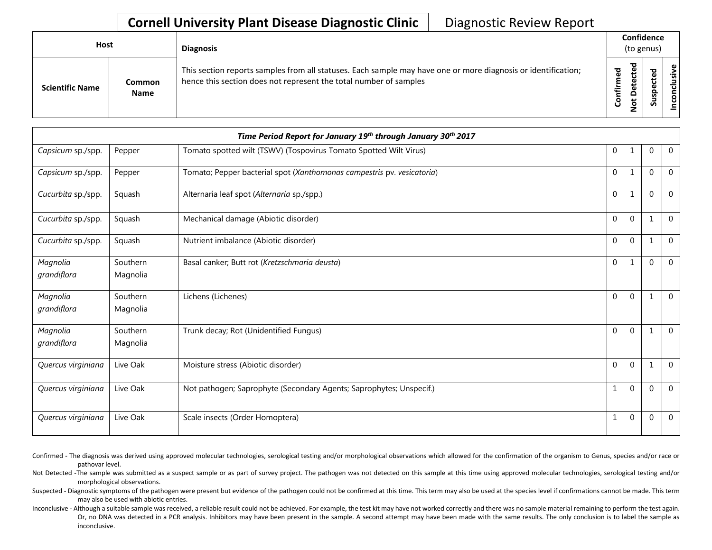## **Cornell University Plant Disease Diagnostic Clinic** | Diagnostic Review Report

| <b>Host</b>            |                       | <b>Diagnosis</b>                                                                                                                                                                   |           |                  |   | Confidence<br>(to genus) |  |  |  |
|------------------------|-----------------------|------------------------------------------------------------------------------------------------------------------------------------------------------------------------------------|-----------|------------------|---|--------------------------|--|--|--|
| <b>Scientific Name</b> | Common<br><b>Name</b> | This section reports samples from all statuses. Each sample may have one or more diagnosis or identification;<br>hence this section does not represent the total number of samples | Confirmed | ъ<br>Δ<br>پ<br>ۊ | ശ | ω<br>usiv<br>᠊ᠣ<br>ō     |  |  |  |

|                         |                      | Time Period Report for January 19th through January 30th 2017          |              |              |              |                |
|-------------------------|----------------------|------------------------------------------------------------------------|--------------|--------------|--------------|----------------|
| Capsicum sp./spp.       | Pepper               | Tomato spotted wilt (TSWV) (Tospovirus Tomato Spotted Wilt Virus)      | $\mathbf 0$  | 1            | $\Omega$     | $\overline{0}$ |
| Capsicum sp./spp.       | Pepper               | Tomato; Pepper bacterial spot (Xanthomonas campestris pv. vesicatoria) | $\mathbf 0$  | $\mathbf{1}$ | $\mathbf{0}$ | $\mathbf 0$    |
| Cucurbita sp./spp.      | Squash               | Alternaria leaf spot (Alternaria sp./spp.)                             | $\Omega$     | $\mathbf{1}$ | $\Omega$     | $\mathbf 0$    |
| Cucurbita sp./spp.      | Squash               | Mechanical damage (Abiotic disorder)                                   | $\Omega$     | $\mathbf{0}$ | $\mathbf{1}$ | $\mathbf 0$    |
| Cucurbita sp./spp.      | Squash               | Nutrient imbalance (Abiotic disorder)                                  | $\Omega$     | $\mathbf{0}$ | $\mathbf{1}$ | $\mathbf{0}$   |
| Magnolia<br>grandiflora | Southern<br>Magnolia | Basal canker; Butt rot (Kretzschmaria deusta)                          | $\mathbf 0$  |              | $\Omega$     | $\overline{0}$ |
| Magnolia<br>grandiflora | Southern<br>Magnolia | Lichens (Lichenes)                                                     | $\Omega$     | $\mathbf{0}$ | 1            | $\overline{0}$ |
| Magnolia<br>grandiflora | Southern<br>Magnolia | Trunk decay; Rot (Unidentified Fungus)                                 | $\mathbf{0}$ | $\mathbf{0}$ | 1            | $\overline{0}$ |
| Quercus virginiana      | Live Oak             | Moisture stress (Abiotic disorder)                                     | $\mathbf{0}$ | $\mathbf{0}$ | 1            | $\overline{0}$ |
| Quercus virginiana      | Live Oak             | Not pathogen; Saprophyte (Secondary Agents; Saprophytes; Unspecif.)    | 1            | $\mathbf 0$  | $\mathbf{0}$ | $\mathbf{0}$   |
| Quercus virginiana      | Live Oak             | Scale insects (Order Homoptera)                                        | 1            | $\mathbf 0$  | $\Omega$     | $\mathbf 0$    |

Confirmed - The diagnosis was derived using approved molecular technologies, serological testing and/or morphological observations which allowed for the confirmation of the organism to Genus, species and/or race or pathovar level.

Not Detected -The sample was submitted as a suspect sample or as part of survey project. The pathogen was not detected on this sample at this time using approved molecular technologies, serological testing and/or morphological observations.

Suspected - Diagnostic symptoms of the pathogen were present but evidence of the pathogen could not be confirmed at this time. This term may also be used at the species level if confirmations cannot be made. This term may also be used with abiotic entries.

Inconclusive - Although a suitable sample was received, a reliable result could not be achieved. For example, the test kit may have not worked correctly and there was no sample material remaining to perform the test again. Or, no DNA was detected in a PCR analysis. Inhibitors may have been present in the sample. A second attempt may have been made with the same results. The only conclusion is to label the sample as inconclusive.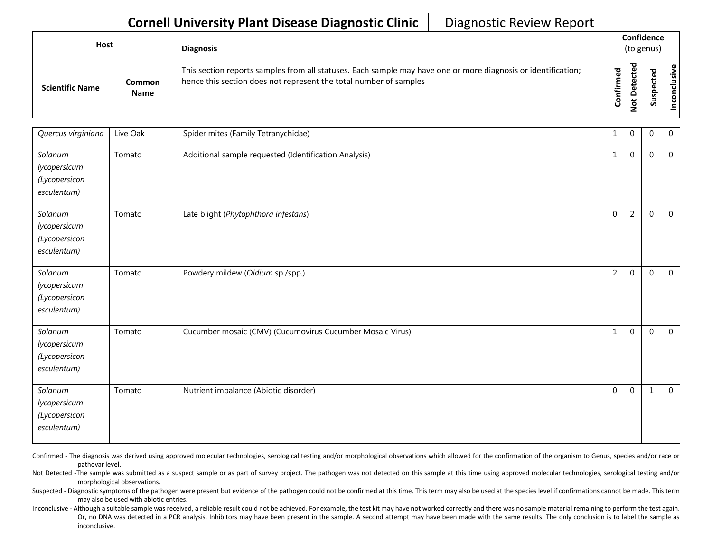## **Cornell University Plant Disease Diagnostic Clinic** | Diagnostic Review Report

| Host                   |                              | <b>Diagnosis</b>                                                                                                                                                                   |           |                                         | Confidence<br>(to genus) |                       |
|------------------------|------------------------------|------------------------------------------------------------------------------------------------------------------------------------------------------------------------------------|-----------|-----------------------------------------|--------------------------|-----------------------|
| <b>Scientific Name</b> | <b>Common</b><br><b>Name</b> | This section reports samples from all statuses. Each sample may have one or more diagnosis or identification;<br>hence this section does not represent the total number of samples | Confirmed | ᇃ<br>ω<br>ã<br>$\Omega$<br>پ<br>$\circ$ | ശ                        | usive<br>᠊ᠣ<br>š<br>S |

| Quercus virginiana                                      | Live Oak | Spider mites (Family Tetranychidae)                       | 1              | $\pmb{0}$      | 0            | $\mathbf 0$    |
|---------------------------------------------------------|----------|-----------------------------------------------------------|----------------|----------------|--------------|----------------|
| Solanum<br>lycopersicum<br>(Lycopersicon<br>esculentum) | Tomato   | Additional sample requested (Identification Analysis)     | $\mathbf 1$    | $\mathbf 0$    | $\Omega$     | $\mathbf 0$    |
| Solanum<br>lycopersicum<br>(Lycopersicon<br>esculentum) | Tomato   | Late blight (Phytophthora infestans)                      | $\mathbf 0$    | $\overline{2}$ | $\mathbf{0}$ | $\overline{0}$ |
| Solanum<br>lycopersicum<br>(Lycopersicon<br>esculentum) | Tomato   | Powdery mildew (Oidium sp./spp.)                          | $\overline{2}$ | $\mathbf{0}$   | $\mathbf{0}$ | $\overline{0}$ |
| Solanum<br>lycopersicum<br>(Lycopersicon<br>esculentum) | Tomato   | Cucumber mosaic (CMV) (Cucumovirus Cucumber Mosaic Virus) | $\mathbf{1}$   | $\mathbf 0$    | $\mathbf 0$  | $\mathbf 0$    |
| Solanum<br>lycopersicum<br>(Lycopersicon<br>esculentum) | Tomato   | Nutrient imbalance (Abiotic disorder)                     | $\mathbf 0$    | $\mathbf 0$    | $\mathbf{1}$ | $\mathbf 0$    |

Confirmed - The diagnosis was derived using approved molecular technologies, serological testing and/or morphological observations which allowed for the confirmation of the organism to Genus, species and/or race or pathovar level.

Not Detected -The sample was submitted as a suspect sample or as part of survey project. The pathogen was not detected on this sample at this time using approved molecular technologies, serological testing and/or morphological observations.

Suspected - Diagnostic symptoms of the pathogen were present but evidence of the pathogen could not be confirmed at this time. This term may also be used at the species level if confirmations cannot be made. This term may also be used with abiotic entries.

Inconclusive - Although a suitable sample was received, a reliable result could not be achieved. For example, the test kit may have not worked correctly and there was no sample material remaining to perform the test again. Or, no DNA was detected in a PCR analysis. Inhibitors may have been present in the sample. A second attempt may have been made with the same results. The only conclusion is to label the sample as inconclusive.